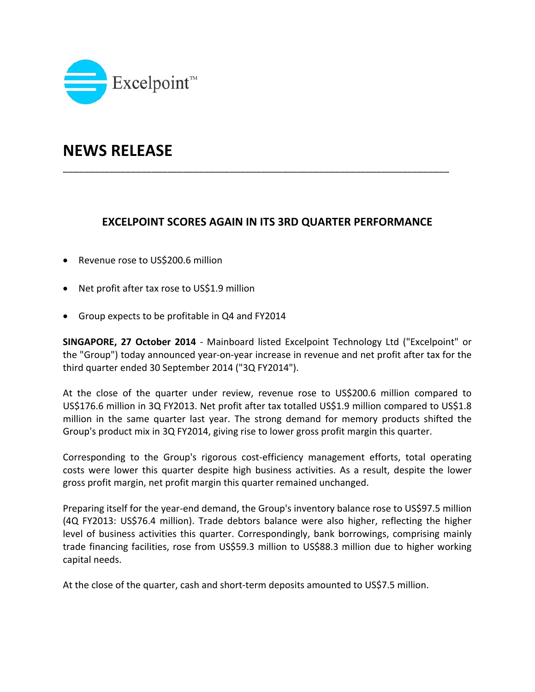

# **NEWS RELEASE**

## **EXCELPOINT SCORES AGAIN IN ITS 3RD QUARTER PERFORMANCE**

\_\_\_\_\_\_\_\_\_\_\_\_\_\_\_\_\_\_\_\_\_\_\_\_\_\_\_\_\_\_\_\_\_\_\_\_\_\_\_\_\_\_\_\_\_\_\_\_\_\_\_\_\_\_\_\_\_\_\_\_\_\_\_\_\_\_\_\_\_\_\_\_\_\_

- Revenue rose to US\$200.6 million
- Net profit after tax rose to US\$1.9 million
- Group expects to be profitable in Q4 and FY2014

**SINGAPORE, 27 October 2014** ‐ Mainboard listed Excelpoint Technology Ltd ("Excelpoint" or the "Group") today announced year‐on‐year increase in revenue and net profit after tax for the third quarter ended 30 September 2014 ("3Q FY2014").

At the close of the quarter under review, revenue rose to US\$200.6 million compared to US\$176.6 million in 3Q FY2013. Net profit after tax totalled US\$1.9 million compared to US\$1.8 million in the same quarter last year. The strong demand for memory products shifted the Group's product mix in 3Q FY2014, giving rise to lower gross profit margin this quarter.

Corresponding to the Group's rigorous cost‐efficiency management efforts, total operating costs were lower this quarter despite high business activities. As a result, despite the lower gross profit margin, net profit margin this quarter remained unchanged.

Preparing itself for the year-end demand, the Group's inventory balance rose to US\$97.5 million (4Q FY2013: US\$76.4 million). Trade debtors balance were also higher, reflecting the higher level of business activities this quarter. Correspondingly, bank borrowings, comprising mainly trade financing facilities, rose from US\$59.3 million to US\$88.3 million due to higher working capital needs.

At the close of the quarter, cash and short-term deposits amounted to US\$7.5 million.